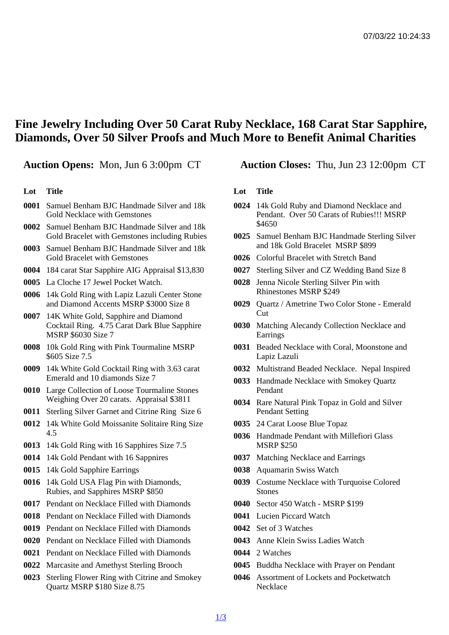## Fine Jewelry Including Over 50 Carat Ruby Necklace, 168 Carat Star Sapphire, Diamonds, Over 50 Silver Proofs and Much More to Benefit Animal Charities

Lot Title

- 0001 Samuel Benham BJC Handmade Silver and 18k Gold Necklace with Gemstones
- 0002 Samuel Benham BJC Handmade Silver and 18k Gold Bracelet with Gemstones including Rubies
- 0003 Samuel Benham BJC Handmade Silver and 18k Gold Bracelet with Gemstones
- 0004 184 carat Star Sapphire AIG Appraisal \$13,830
- 0005 La Cloche 17 Jewel Pocket Watch.
- 0006 14k Gold Ring with Lapiz Lazuli Center Stone and Diamond Accents MSRP \$3000 Size 8
- 0007 14K White Gold, Sapphire and Diamond Cocktail Ring. 4.75 Carat Dark Blue Sapphire MSRP \$6030 Size 7
- 0008 10k Gold Ring with Pink Tourmaline MSRP \$605 Size 7.5
- 0009 14k White Gold Cocktail Ring with 3.63 carat Emerald and 10 diamonds Size 7
- 0010 Large Collection of Loose Tourmaline Stones Weighing Over 20 carats. Appraisal \$3811
- 0011 Sterling Silver Garnet and Citrine Ring Size 6
- 0012 14k White Gold Moissanite Solitaire Ring Size 4.5
- 0013 14k Gold Ring with 16 Sapphires Size 7.5
- 0014 14k Gold Pendant with 16 Sappnires
- 0015 14k Gold Sapphire Earrings
- 0016 14k Gold USA Flag Pin with Diamonds, Rubies, and Sapphires MSRP \$850
- 0017 Pendant on Necklace Filled with Diamonds
- 0018 Pendant on Necklace Filled with Diamonds
- 0019 Pendant on Necklace Filled with Diamonds
- 0020 Pendant on Necklace Filled with Diamonds
- 0021 Pendant on Necklace Filled with Diamonds
- 0022 Marcasite and Amethyst Sterling Brooch
- 0023 Sterling Flower Ring with Citrine and Smokey Quartz MSRP \$180 Size 8.75

Auction Opens: Mon, Jun 6 3:00pm CT Auction Closes: Thu, Jun 23 12:00pm CT

Lot Title

- 0024 14k Gold Ruby and Diamond Necklace and Pendant. Over 50 Carats of Rubies!!! MSRP \$4650
- 0025 Samuel Benham BJC Handmade Sterling Silver and 18k Gold Bracelet MSRP \$899
- 0026 Colorful Bracelet with Stretch Band
- 0027 Sterling Silver and CZ Wedding Band Size 8
- 0028 Jenna Nicole Sterling Silver Pin with Rhinestones MSRP \$249
- 0029 Quartz / Ametrine Two Color Stone Emerald Cut
- 0030 Matching Alecandy Collection Necklace and **Earrings**
- 0031 Beaded Necklace with Coral, Moonstone and Lapiz Lazuli
- 0032 Multistrand Beaded Necklace. Nepal Inspired
- 0033 Handmade Necklace with Smokey Quartz Pendant
- 0034 Rare Natural Pink Topaz in Gold and Silver Pendant Setting
- 0035 24 Carat Loose Blue Topaz
- 0036 Handmade Pendant with Millefiori Glass MSRP \$250
- 0037 Matching Necklace and Earrings
- 0038 Aquamarin Swiss Watch
- 0039 Costume Necklace with Turquoise Colored **Stones**
- 0040 Sector 450 Watch MSRP \$199
- 0041 Lucien Piccard Watch
- 0042 Set of 3 Watches
- 0043 Anne Klein Swiss Ladies Watch
- 0044 2 Watches
- 0045 Buddha Necklace with Prayer on Pendant
- 0046 Assortment of Lockets and Pocketwatch **Necklace**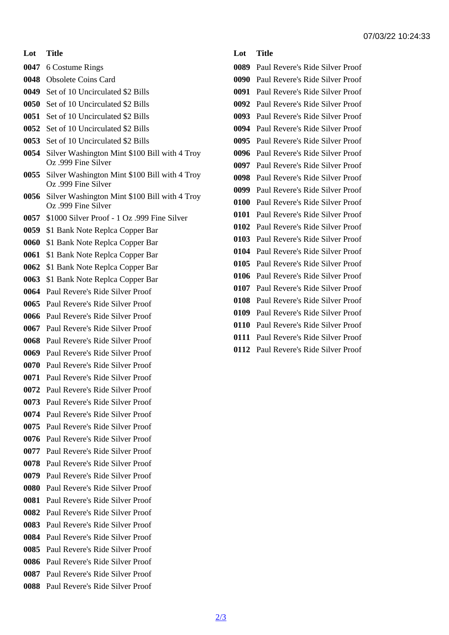- Lot Title
- 6 Costume Rings
- Obsolete Coins Card
- Set of 10 Uncirculated \$2 Bills
- Set of 10 Uncirculated \$2 Bills
- Set of 10 Uncirculated \$2 Bills
- Set of 10 Uncirculated \$2 Bills
- Set of 10 Uncirculated \$2 Bills
- Silver Washington Mint \$100 Bill with 4 Troy Oz .999 Fine Silver
- Silver Washington Mint \$100 Bill with 4 Troy Oz .999 Fine Silver
- Silver Washington Mint \$100 Bill with 4 Troy Oz .999 Fine Silver
- \$1000 Silver Proof 1 Oz .999 Fine Silver
- \$1 Bank Note Replca Copper Bar
- \$1 Bank Note Replca Copper Bar
- \$1 Bank Note Replca Copper Bar
- \$1 Bank Note Replca Copper Bar
- \$1 Bank Note Replca Copper Bar
- Paul Revere's Ride Silver Proof
- Paul Revere's Ride Silver Proof
- Paul Revere's Ride Silver Proof
- Paul Revere's Ride Silver Proof
- Paul Revere's Ride Silver Proof
- Paul Revere's Ride Silver Proof Paul Revere's Ride Silver Proof
- Paul Revere's Ride Silver Proof
- Paul Revere's Ride Silver Proof
- Paul Revere's Ride Silver Proof
- Paul Revere's Ride Silver Proof
- -

 Paul Revere's Ride Silver Proof Paul Revere's Ride Silver Proof Paul Revere's Ride Silver Proof Paul Revere's Ride Silver Proof Paul Revere's Ride Silver Proof Paul Revere's Ride Silver Proof Paul Revere's Ride Silver Proof Paul Revere's Ride Silver Proof Paul Revere's Ride Silver Proof Paul Revere's Ride Silver Proof Paul Revere's Ride Silver Proof Paul Revere's Ride Silver Proof Paul Revere's Ride Silver Proof

- 
- Paul Revere's Ride Silver Proof
- 
- 
- 
- 
- -
	-
- 
- 
- 
- -
- 
- 
- 
- 
- Paul Revere's Ride Silver Proof Paul Revere's Ride Silver Proof Paul Revere's Ride Silver Proof Paul Revere's Ride Silver Proof Paul Revere's Ride Silver Proof Paul Revere's Ride Silver Proof Paul Revere's Ride Silver Proof Paul Revere's Ride Silver Proof Paul Revere's Ride Silver Proof Paul Revere's Ride Silver Proof Paul Revere's Ride Silver Proof
- Paul Revere's Ride Silver Proof
- Paul Revere's Ride Silver Proof
- Paul Revere's Ride Silver Proof
- Paul Revere's Ride Silver Proof
- 
- Paul Revere's Ride Silver Proof
- Paul Revere's Ride Silver Proof
- Paul Revere's Ride Silver Proof
- Paul Revere's Ride Silver Proof
- Paul Revere's Ride Silver Proof
	- Paul Revere's Ride Silver Proof
	-
- Paul Revere's Ride Silver Proof
- Paul Revere's Ride Silver Proof
- Paul Revere's Ride Silver Proof

2/3

- 
- Lot Title